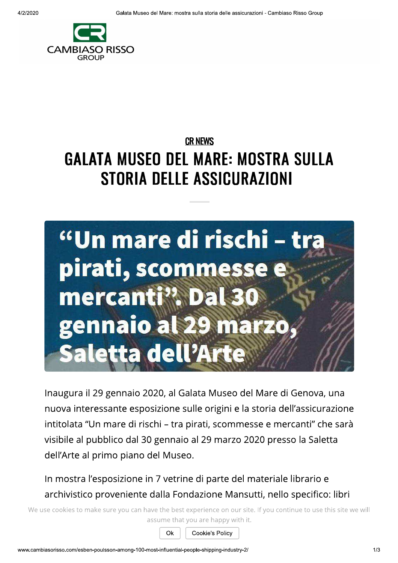

## **CR NEWS GALATA MUSEO DEL MARE: MOSTRA SULLA** STORIA DELLE ASSICURAZIONI



Inaugura il 29 gennaio 2020, al Galata Museo del Mare di Genova, una nuova interessante esposizione sulle origini e la storia dell'assicurazione intitolata "Un mare di rischi – tra pirati, scommesse e mercanti" che sarà visibile al pubblico dal 30 gennaio al 29 marzo 2020 presso la Saletta dell'Arte al primo piano del Museo.

In mostra l'esposizione in 7 vetrine di parte del materiale librario e archivistico proveniente dalla Fondazione Mansutti, nello specifico: libri

We use cookies to make sure you can have the best experience on our site. If you continue to use this site we will assume that you are happy with it.

Ok

Cookie's Policy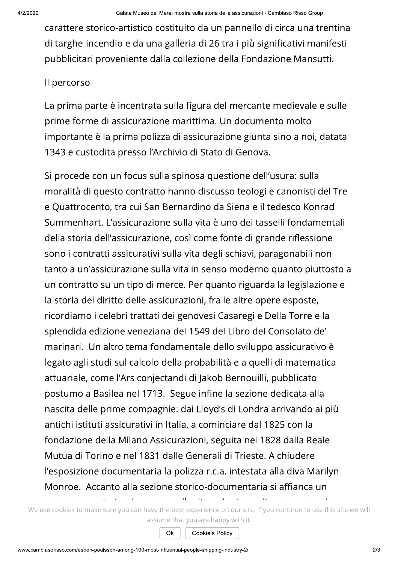carattere storico-artistico costituito da un pannello di circa una trentina di targhe-incendio e da una galleria di 26 tra i più significativi manifesti pubblicitari proveniente dalla collezione della Fondazione Mansutti.

## Il percorso

La prima parte è incentrata sulla figura del mercante medievale e sulle prime forme di assicurazione marittima. Un documento molto importante è la prima polizza di assicurazione giunta sino a noi, datata 1343 e custodita presso l'Archivio di Stato di Genova.

Si procede con un focus sulla spinosa questione dell'usura: sulla moralità di questo contratto hanno discusso teologi e canonisti del Tre e Quattrocento, tra cui San Bernardino da Siena e il tedesco Konrad Summenhart. L'assicurazione sulla vita è uno dei tasselli fondamentali della storia dell'assicurazione, così come fonte di grande riflessione sono i contratti assicurativi sulla vita degli schiavi, paragonabili non tanto a un'assicurazione sulla vita in senso moderno quanto piuttosto a un contratto su un tipo di merce. Per quanto riguarda la legislazione e la storia del diritto delle assicurazioni, fra le altre opere esposte, ricordiamo i celebri trattati dei genovesi Casaregi e Della Torre e la splendida edizione veneziana del 1549 del Libro del Consolato de' marinari. Un altro tema fondamentale dello sviluppo assicurativo è legato agli studi sul calcolo della probabilità e a quelli di matematica attuariale, come l'Ars conjectandi di Jakob Bernouilli, pubblicato postumo a Basilea nel 1713. Segue infine la sezione dedicata alla nascita delle prime compagnie: dai Lloyd's di Londra arrivando ai più antichi istituti assicurativi in Italia, a cominciare dal 1825 con la fondazione della Milano Assicurazioni, seguita nel 1828 dalla Reale Mutua di Torino e nel 1831 dalle Generali di Trieste. A chiudere l'esposizione documentaria la polizza r.c.a. intestata alla diva Marilyn Monroe. Accanto alla sezione storico-documentaria si affianca un

We use cookies to make sure you can have the best experience on our site. If you continue to use this site we will assume that you are happy with it.

Ok

Cookie's Policy